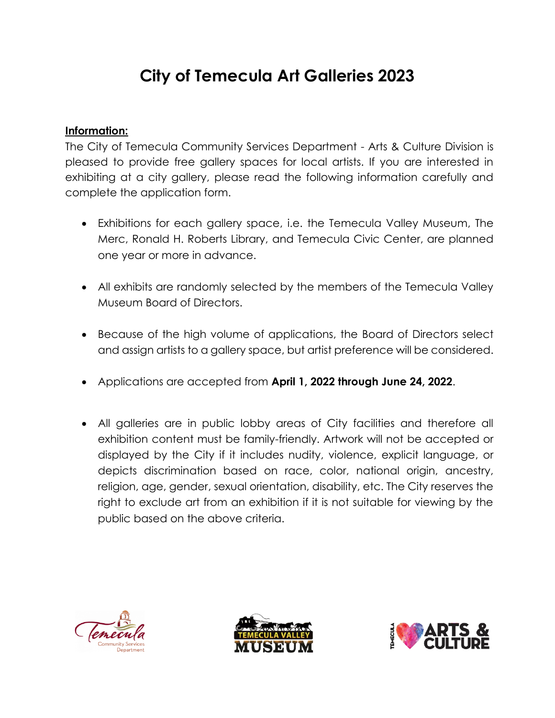## **City of Temecula Art Galleries 2023**

## **Information:**

The City of Temecula Community Services Department - Arts & Culture Division is pleased to provide free gallery spaces for local artists. If you are interested in exhibiting at a city gallery, please read the following information carefully and complete the application form.

- Exhibitions for each gallery space, i.e. the Temecula Valley Museum, The Merc, Ronald H. Roberts Library, and Temecula Civic Center, are planned one year or more in advance.
- All exhibits are randomly selected by the members of the Temecula Valley Museum Board of Directors.
- Because of the high volume of applications, the Board of Directors select and assign artists to a gallery space, but artist preference will be considered.
- Applications are accepted from **April 1, 2022 through June 24, 2022**.
- All galleries are in public lobby areas of City facilities and therefore all exhibition content must be family-friendly. Artwork will not be accepted or displayed by the City if it includes nudity, violence, explicit language, or depicts discrimination based on race, color, national origin, ancestry, religion, age, gender, sexual orientation, disability, etc. The City reserves the right to exclude art from an exhibition if it is not suitable for viewing by the public based on the above criteria.





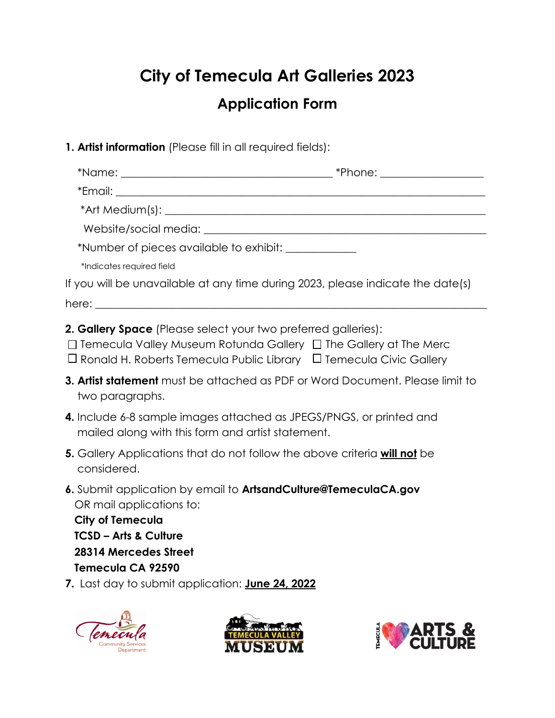## **City of Temecula Art Galleries 2023 Application Form**

| 1. Artist information (Please fill in all required fields):                                                                                                                                                                             |  |
|-----------------------------------------------------------------------------------------------------------------------------------------------------------------------------------------------------------------------------------------|--|
|                                                                                                                                                                                                                                         |  |
|                                                                                                                                                                                                                                         |  |
|                                                                                                                                                                                                                                         |  |
|                                                                                                                                                                                                                                         |  |
| *Number of pieces available to exhibit: ______________                                                                                                                                                                                  |  |
| *Indicates required field                                                                                                                                                                                                               |  |
| If you will be unavailable at any time during 2023, please indicate the date(s)                                                                                                                                                         |  |
|                                                                                                                                                                                                                                         |  |
| <b>2. Gallery Space</b> (Please select your two preferred galleries):<br>$\Box$ Temecula Valley Museum Rotunda Gallery $\Box$ The Gallery at The Merc<br>$\Box$ Ronald H. Roberts Temecula Public Library $\Box$ Temecula Civic Gallery |  |
| <b>3. Artist statement</b> must be attached as PDF or Word Document. Please limit to<br>two paragraphs.                                                                                                                                 |  |
| <b>4.</b> Include 6-8 sample images attached as JPEGS/PNGS, or printed and<br>mailed along with this form and artist statement.                                                                                                         |  |
| $\mathsf{\mathsf{E}}$ Callon: Applications that do not follow the above criteria will not be                                                                                                                                            |  |

- **5.** Gallery Applications that do not follow the above criteria **will not** be considered.
- **6.** Submit application by email to **ArtsandCulture@TemeculaCA.gov** OR mail applications to:

 **City of Temecula TCSD – Arts & Culture 28314 Mercedes Street Temecula CA 92590**

**7.** Last day to submit application: **June 24, 2022**